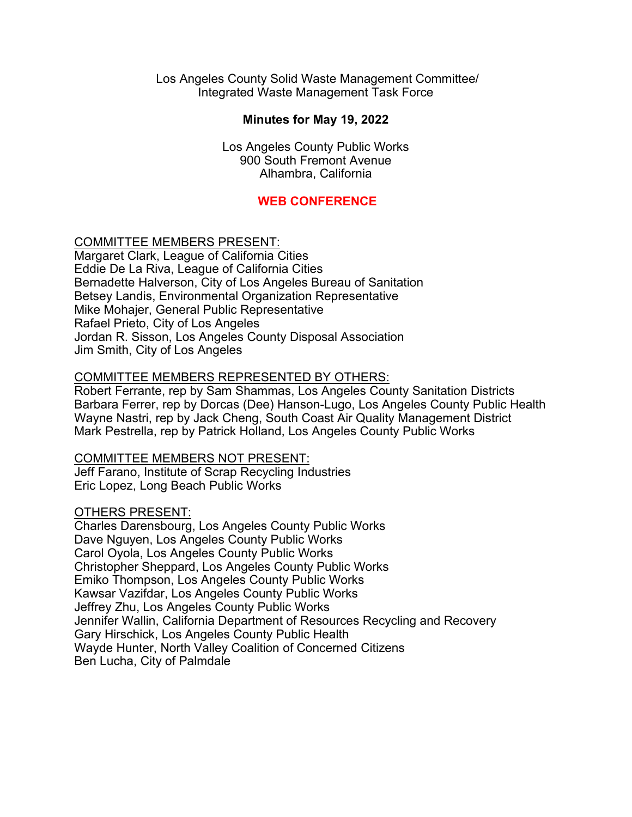Los Angeles County Solid Waste Management Committee/ Integrated Waste Management Task Force

#### **Minutes for May 19, 2022**

Los Angeles County Public Works 900 South Fremont Avenue Alhambra, California

#### **WEB CONFERENCE**

#### COMMITTEE MEMBERS PRESENT:

Margaret Clark, League of California Cities Eddie De La Riva, League of California Cities Bernadette Halverson, City of Los Angeles Bureau of Sanitation Betsey Landis, Environmental Organization Representative Mike Mohajer, General Public Representative Rafael Prieto, City of Los Angeles Jordan R. Sisson, Los Angeles County Disposal Association Jim Smith, City of Los Angeles

#### COMMITTEE MEMBERS REPRESENTED BY OTHERS:

Robert Ferrante, rep by Sam Shammas, Los Angeles County Sanitation Districts Barbara Ferrer, rep by Dorcas (Dee) Hanson-Lugo, Los Angeles County Public Health Wayne Nastri, rep by Jack Cheng, South Coast Air Quality Management District Mark Pestrella, rep by Patrick Holland, Los Angeles County Public Works

COMMITTEE MEMBERS NOT PRESENT: Jeff Farano, Institute of Scrap Recycling Industries

Eric Lopez, Long Beach Public Works

#### OTHERS PRESENT:

Charles Darensbourg, Los Angeles County Public Works Dave Nguyen, Los Angeles County Public Works Carol Oyola, Los Angeles County Public Works Christopher Sheppard, Los Angeles County Public Works Emiko Thompson, Los Angeles County Public Works Kawsar Vazifdar, Los Angeles County Public Works Jeffrey Zhu, Los Angeles County Public Works Jennifer Wallin, California Department of Resources Recycling and Recovery Gary Hirschick, Los Angeles County Public Health Wayde Hunter, North Valley Coalition of Concerned Citizens Ben Lucha, City of Palmdale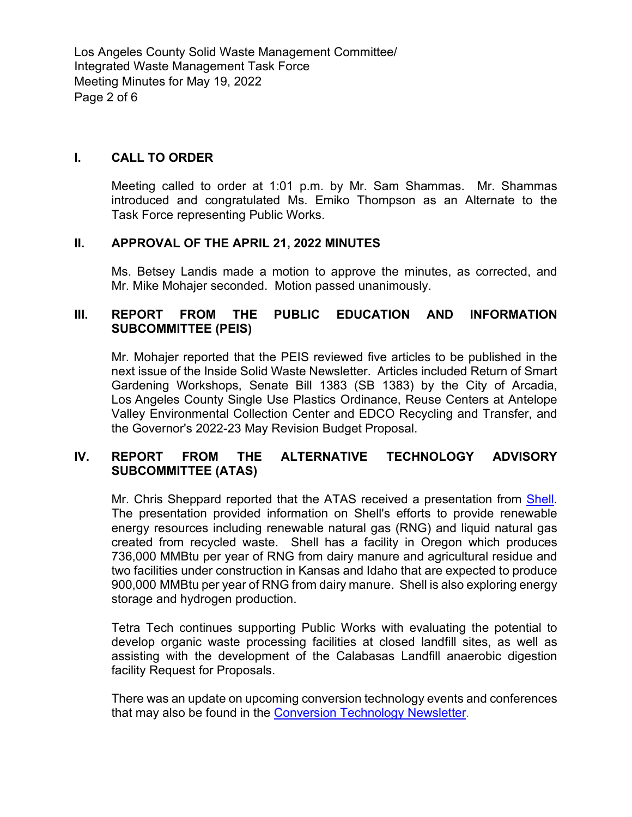Los Angeles County Solid Waste Management Committee/ Integrated Waste Management Task Force Meeting Minutes for May 19, 2022 Page 2 of 6

#### **I. CALL TO ORDER**

Meeting called to order at 1:01 p.m. by Mr. Sam Shammas. Mr. Shammas introduced and congratulated Ms. Emiko Thompson as an Alternate to the Task Force representing Public Works.

#### **II. APPROVAL OF THE APRIL 21, 2022 MINUTES**

Ms. Betsey Landis made a motion to approve the minutes, as corrected, and Mr. Mike Mohajer seconded. Motion passed unanimously.

## **III. REPORT FROM THE PUBLIC EDUCATION AND INFORMATION SUBCOMMITTEE (PEIS)**

Mr. Mohajer reported that the PEIS reviewed five articles to be published in the next issue of the Inside Solid Waste Newsletter. Articles included Return of Smart Gardening Workshops, Senate Bill 1383 (SB 1383) by the City of Arcadia, Los Angeles County Single Use Plastics Ordinance, Reuse Centers at Antelope Valley Environmental Collection Center and EDCO Recycling and Transfer, and the Governor's 2022-23 May Revision Budget Proposal.

## **IV. REPORT FROM THE ALTERNATIVE TECHNOLOGY ADVISORY SUBCOMMITTEE (ATAS)**

Mr. Chris Sheppard reported that the ATAS received a presentation from [Shell.](https://pw.lacounty.gov/epd/tf/Attachments/Minutes_Attachments/2022_Attachments/Shell_ATAS_5.19.2022.pdf) The presentation provided information on Shell's efforts to provide renewable energy resources including renewable natural gas (RNG) and liquid natural gas created from recycled waste. Shell has a facility in Oregon which produces 736,000 MMBtu per year of RNG from dairy manure and agricultural residue and two facilities under construction in Kansas and Idaho that are expected to produce 900,000 MMBtu per year of RNG from dairy manure. Shell is also exploring energy storage and hydrogen production.

Tetra Tech continues supporting Public Works with evaluating the potential to develop organic waste processing facilities at closed landfill sites, as well as assisting with the development of the Calabasas Landfill anaerobic digestion facility Request for Proposals.

There was an update on upcoming conversion technology events and conferences that may also be found in the **Conversion Technology Newsletter**.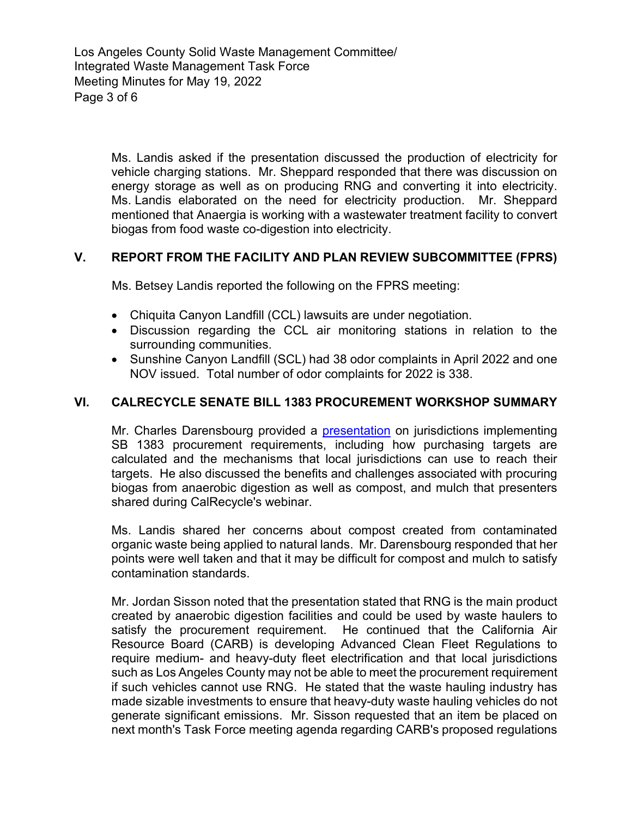Los Angeles County Solid Waste Management Committee/ Integrated Waste Management Task Force Meeting Minutes for May 19, 2022 Page 3 of 6

> Ms. Landis asked if the presentation discussed the production of electricity for vehicle charging stations. Mr. Sheppard responded that there was discussion on energy storage as well as on producing RNG and converting it into electricity. Ms. Landis elaborated on the need for electricity production. Mr. Sheppard mentioned that Anaergia is working with a wastewater treatment facility to convert biogas from food waste co-digestion into electricity.

## **V. REPORT FROM THE FACILITY AND PLAN REVIEW SUBCOMMITTEE (FPRS)**

Ms. Betsey Landis reported the following on the FPRS meeting:

- Chiquita Canyon Landfill (CCL) lawsuits are under negotiation.
- Discussion regarding the CCL air monitoring stations in relation to the surrounding communities.
- Sunshine Canyon Landfill (SCL) had 38 odor complaints in April 2022 and one NOV issued. Total number of odor complaints for 2022 is 338.

#### **VI. CALRECYCLE SENATE BILL 1383 PROCUREMENT WORKSHOP SUMMARY**

Mr. Charles Darensbourg provided a [presentation](https://pw.lacounty.gov/epd/tf/Attachments/Minutes_Attachments/2022_Attachments/Peer_Sharing_How_Jurisdictions_are_Implementing_the_SB_1383_Procurement_Requirement.pdf) on jurisdictions implementing SB 1383 procurement requirements, including how purchasing targets are calculated and the mechanisms that local jurisdictions can use to reach their targets. He also discussed the benefits and challenges associated with procuring biogas from anaerobic digestion as well as compost, and mulch that presenters shared during CalRecycle's webinar.

Ms. Landis shared her concerns about compost created from contaminated organic waste being applied to natural lands. Mr. Darensbourg responded that her points were well taken and that it may be difficult for compost and mulch to satisfy contamination standards.

Mr. Jordan Sisson noted that the presentation stated that RNG is the main product created by anaerobic digestion facilities and could be used by waste haulers to satisfy the procurement requirement. He continued that the California Air Resource Board (CARB) is developing Advanced Clean Fleet Regulations to require medium- and heavy-duty fleet electrification and that local jurisdictions such as Los Angeles County may not be able to meet the procurement requirement if such vehicles cannot use RNG. He stated that the waste hauling industry has made sizable investments to ensure that heavy-duty waste hauling vehicles do not generate significant emissions. Mr. Sisson requested that an item be placed on next month's Task Force meeting agenda regarding CARB's proposed regulations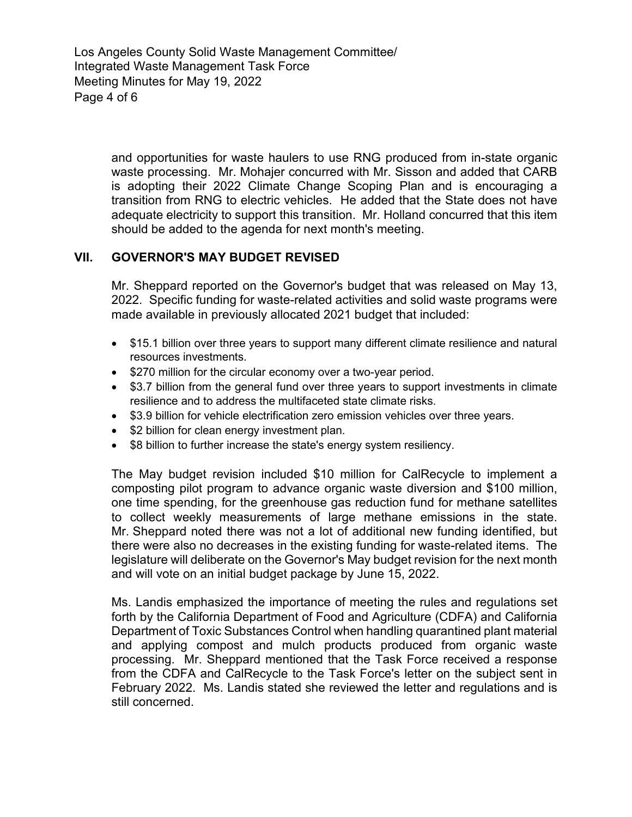Los Angeles County Solid Waste Management Committee/ Integrated Waste Management Task Force Meeting Minutes for May 19, 2022 Page 4 of 6

> and opportunities for waste haulers to use RNG produced from in-state organic waste processing. Mr. Mohajer concurred with Mr. Sisson and added that CARB is adopting their 2022 Climate Change Scoping Plan and is encouraging a transition from RNG to electric vehicles. He added that the State does not have adequate electricity to support this transition. Mr. Holland concurred that this item should be added to the agenda for next month's meeting.

## **VII. GOVERNOR'S MAY BUDGET REVISED**

Mr. Sheppard reported on the Governor's budget that was released on May 13, 2022. Specific funding for waste-related activities and solid waste programs were made available in previously allocated 2021 budget that included:

- \$15.1 billion over three years to support many different climate resilience and natural resources investments.
- \$270 million for the circular economy over a two-year period.
- \$3.7 billion from the general fund over three years to support investments in climate resilience and to address the multifaceted state climate risks.
- \$3.9 billion for vehicle electrification zero emission vehicles over three years.
- \$2 billion for clean energy investment plan.
- \$8 billion to further increase the state's energy system resiliency.

The May budget revision included \$10 million for CalRecycle to implement a composting pilot program to advance organic waste diversion and \$100 million, one time spending, for the greenhouse gas reduction fund for methane satellites to collect weekly measurements of large methane emissions in the state. Mr. Sheppard noted there was not a lot of additional new funding identified, but there were also no decreases in the existing funding for waste-related items. The legislature will deliberate on the Governor's May budget revision for the next month and will vote on an initial budget package by June 15, 2022.

Ms. Landis emphasized the importance of meeting the rules and regulations set forth by the California Department of Food and Agriculture (CDFA) and California Department of Toxic Substances Control when handling quarantined plant material and applying compost and mulch products produced from organic waste processing. Mr. Sheppard mentioned that the Task Force received a response from the CDFA and CalRecycle to the Task Force's letter on the subject sent in February 2022. Ms. Landis stated she reviewed the letter and regulations and is still concerned.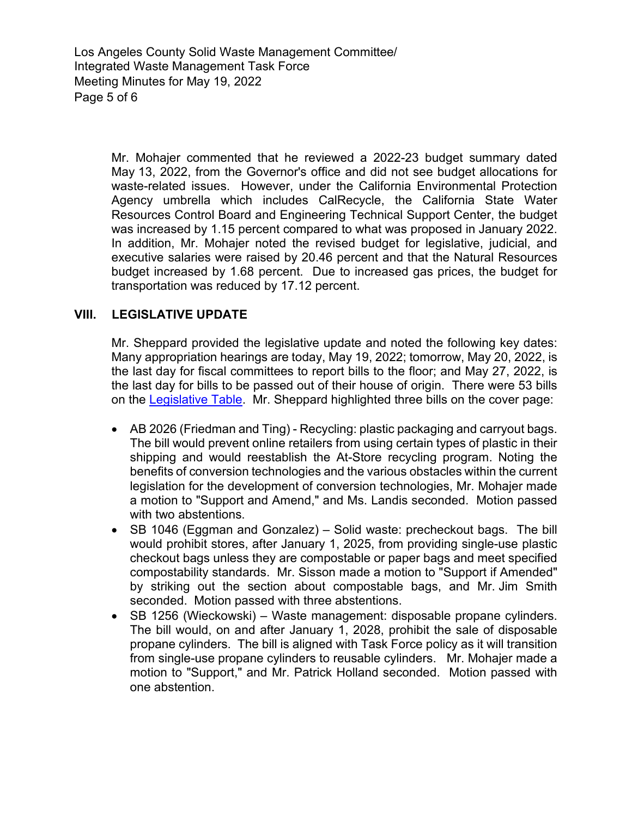Los Angeles County Solid Waste Management Committee/ Integrated Waste Management Task Force Meeting Minutes for May 19, 2022 Page 5 of 6

> Mr. Mohajer commented that he reviewed a 2022-23 budget summary dated May 13, 2022, from the Governor's office and did not see budget allocations for waste-related issues. However, under the California Environmental Protection Agency umbrella which includes CalRecycle, the California State Water Resources Control Board and Engineering Technical Support Center, the budget was increased by 1.15 percent compared to what was proposed in January 2022. In addition, Mr. Mohajer noted the revised budget for legislative, judicial, and executive salaries were raised by 20.46 percent and that the Natural Resources budget increased by 1.68 percent. Due to increased gas prices, the budget for transportation was reduced by 17.12 percent.

## **VIII. LEGISLATIVE UPDATE**

Mr. Sheppard provided the legislative update and noted the following key dates: Many appropriation hearings are today, May 19, 2022; tomorrow, May 20, 2022, is the last day for fiscal committees to report bills to the floor; and May 27, 2022, is the last day for bills to be passed out of their house of origin. There were 53 bills on the [Legislative Table.](https://pw.lacounty.gov/epd/tf/Attachments/LegislativeTables/LgsltvTbl_05-12-22.pdf) Mr. Sheppard highlighted three bills on the cover page:

- AB 2026 (Friedman and Ting) Recycling: plastic packaging and carryout bags. The bill would prevent online retailers from using certain types of plastic in their shipping and would reestablish the At-Store recycling program. Noting the benefits of conversion technologies and the various obstacles within the current legislation for the development of conversion technologies, Mr. Mohajer made a motion to "Support and Amend," and Ms. Landis seconded. Motion passed with two abstentions.
- SB 1046 (Eggman and Gonzalez) Solid waste: precheckout bags. The bill would prohibit stores, after January 1, 2025, from providing single-use plastic checkout bags unless they are compostable or paper bags and meet specified compostability standards. Mr. Sisson made a motion to "Support if Amended" by striking out the section about compostable bags, and Mr. Jim Smith seconded. Motion passed with three abstentions.
- SB 1256 (Wieckowski) Waste management: disposable propane cylinders. The bill would, on and after January 1, 2028, prohibit the sale of disposable propane cylinders. The bill is aligned with Task Force policy as it will transition from single-use propane cylinders to reusable cylinders. Mr. Mohajer made a motion to "Support," and Mr. Patrick Holland seconded. Motion passed with one abstention.